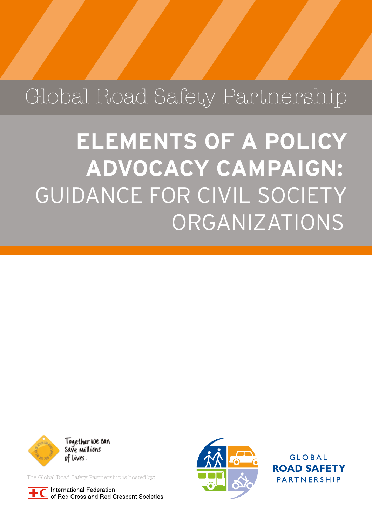## Global Road Safety Partnership

**ELEMENTS OF A POLICY ADVOCACY CAMPAIGN:**  GUIDANCE FOR CIVIL SOCIETY ORGANIZATIONS



The Global Road Safety Partnership is hosted by:

**International Federation** of Red Cross and Red Crescent Societies



**GLOBAL ROAD SAFETY** PARTNERSHIP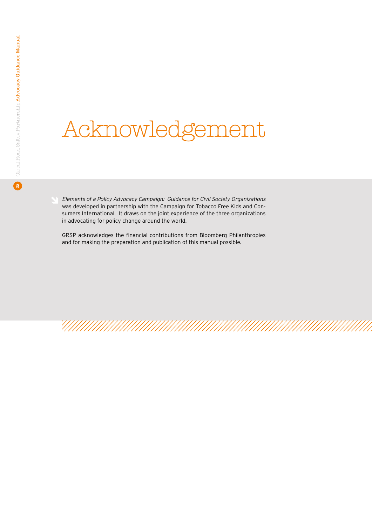## Acknowledgement

*Elements of a Policy Advocacy Campaign: Guidance for Civil Society Organizations* was developed in partnership with the Campaign for Tobacco Free Kids and Consumers International. It draws on the joint experience of the three organizations in advocating for policy change around the world.

GRSP acknowledges the financial contributions from Bloomberg Philanthropies and for making the preparation and publication of this manual possible.

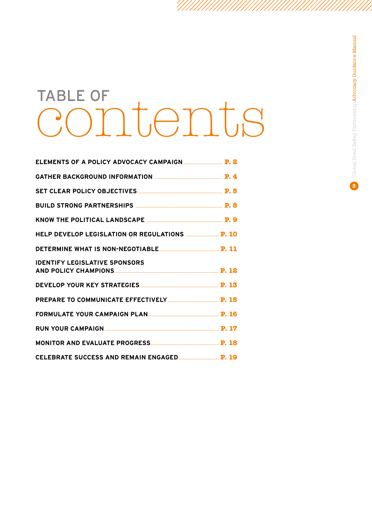## TABLE OF contents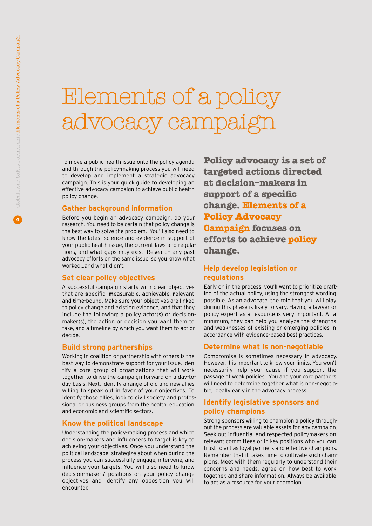## Elements of a policy advocacy campai

To move a public health issue onto the policy agenda and through the policy-making process you will need to develop and implement a strategic advocacy campaign. This is your quick guide to developing an effective advocacy campaign to achieve public health policy change.

#### **Gather background information**

Before you begin an advocacy campaign, do your research. You need to be certain that policy change is the best way to solve the problem. You'll also need to know the latest science and evidence in support of your public health issue, the current laws and regulations, and what gaps may exist. Research any past advocacy efforts on the same issue, so you know what worked…and what didn't.

#### **Set clear policy objectives**

A successful campaign starts with clear objectives that are **s**pecific, **m**easurable, **a**chievable, **r**elevant, and **t**ime-bound. Make sure your objectives are linked to policy change and existing evidence, and that they include the following: a policy actor(s) or decisionmaker(s), the action or decision you want them to take, and a timeline by which you want them to act or decide.

#### **Build strong partnerships**

Working in coalition or partnership with others is the best way to demonstrate support for your issue. Identify a core group of organizations that will work together to drive the campaign forward on a day-today basis. Next, identify a range of old and new allies willing to speak out in favor of your objectives. To identify those allies, look to civil society and professional or business groups from the health, education, and economic and scientific sectors.

#### **Know the political landscape**

Understanding the policy-making process and which decision-makers and influencers to target is key to achieving your objectives. Once you understand the political landscape, strategize about when during the process you can successfully engage, intervene, and influence your targets. You will also need to know decision-makers' positions on your policy change objectives and identify any opposition you will encounter.

**Policy advocacy is a set of targeted actions directed at decision�makers in support of a specific change. Elements of a Policy Advocacy Campaign focuses on efforts to achieve policy change.**

#### **Help develop legislation or regulations**

Early on in the process, you'll want to prioritize drafting of the actual policy, using the strongest wording possible. As an advocate, the role that you will play during this phase is likely to vary. Having a lawyer or policy expert as a resource is very important. At a minimum, they can help you analyze the strengths and weaknesses of existing or emerging policies in accordance with evidence-based best practices.

#### **Determine what is non-negotiable**

Compromise is sometimes necessary in advocacy. However, it is important to know your limits. You won't necessarily help your cause if you support the passage of weak policies. You and your core partners will need to determine together what is non-negotiable, ideally early in the advocacy process.

#### **Identify legislative sponsors and policy champions**

Strong sponsors willing to champion a policy throughout the process are valuable assets for any campaign. Seek out influential and respected policymakers on relevant committees or in key positions who you can trust to act as loyal partners and effective champions. Remember that it takes time to cultivate such champions. Meet with them regularly to understand their concerns and needs, agree on how best to work together, and share information. Always be available to act as a resource for your champion.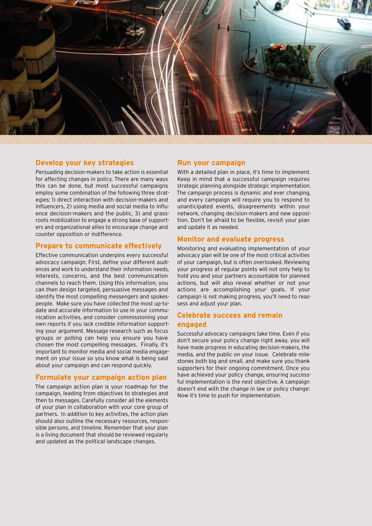

#### **Develop your key strategies**

Persuading decision-makers to take action is essential for affecting changes in policy. There are many ways this can be done, but most successful campaigns employ some combination of the following three strategies: 1) direct interaction with decision-makers and influencers, 2) using media and social media to influence decision-makers and the public, 3) and grassroots mobilization to engage a strong base of supporters and organizational allies to encourage change and counter opposition or indifference.

#### **Prepare to communicate effectively**

Effective communication underpins every successful advocacy campaign. First, define your different audiences and work to understand their information needs, interests, concerns, and the best communication channels to reach them. Using this information, you can then design targeted, persuasive messages and identify the most compelling messengers and spokespeople. Make sure you have collected the most up-todate and accurate information to use in your communication activities, and consider commissioning your own reports if you lack credible information supporting your argument. Message research such as focus groups or polling can help you ensure you have chosen the most compelling messages. Finally, it's important to monitor media and social media engagement on your issue so you know what is being said about your campaign and can respond quickly.

#### **Formulate your campaign action plan**

The campaign action plan is your roadmap for the campaign, leading from objectives to strategies and then to messages. Carefully consider all the elements of your plan in collaboration with your core group of partners. In addition to key activities, the action plan should also outline the necessary resources, responsible persons, and timeline. Remember that your plan is a living document that should be reviewed regularly and updated as the political landscape changes.

#### **Run your campaign**

With a detailed plan in place, it's time to implement. Keep in mind that a successful campaign requires strategic planning alongside strategic implementation. The campaign process is dynamic and ever changing, and every campaign will require you to respond to unanticipated events, disagreements within your network, changing decision-makers and new opposition. Don't be afraid to be flexible, revisit your plan and update it as needed.

#### **Monitor and evaluate progress**

Monitoring and evaluating implementation of your advocacy plan will be one of the most critical activities of your campaign, but is often overlooked. Reviewing your progress at regular points will not only help to hold you and your partners accountable for planned actions, but will also reveal whether or not your actions are accomplishing your goals. If your campaign is not making progress, you'll need to reassess and adjust your plan.

#### **Celebrate success and remain engaged**

Successful advocacy campaigns take time. Even if you don't secure your policy change right away, you will have made progress in educating decision-makers, the media, and the public on your issue. Celebrate milestones both big and small, and make sure you thank supporters for their ongoing commitment. Once you have achieved your policy change, ensuring successful implementation is the next objective. A campaign doesn't end with the change in law or policy change: Now it's time to push for implementation.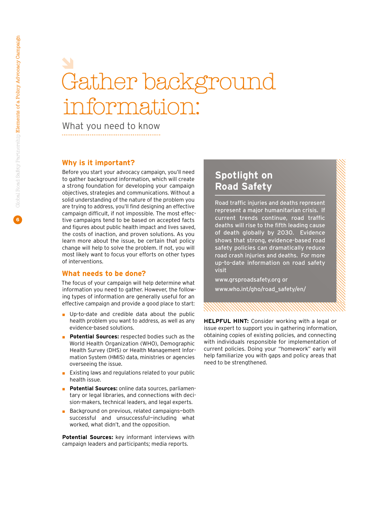## Gather backgrour iformation:

What you need to know

#### **Why is it important?**

Before you start your advocacy campaign, you'll need to gather background information, which will create a strong foundation for developing your campaign objectives, strategies and communications. Without a solid understanding of the nature of the problem you are trying to address, you'll find designing an effective campaign difficult, if not impossible. The most effective campaigns tend to be based on accepted facts and figures about public health impact and lives saved, the costs of inaction, and proven solutions. As you learn more about the issue, be certain that policy change will help to solve the problem. If not, you will most likely want to focus your efforts on other types of interventions.

#### **What needs to be done?**

The focus of your campaign will help determine what information you need to gather. However, the following types of information are generally useful for an effective campaign and provide a good place to start:

- Up-to-date and credible data about the public health problem you want to address, as well as any evidence-based solutions.
- **Potential Sources:** respected bodies such as the World Health Organization (WHO), Demographic Health Survey (DHS) or Health Management Information System (HMIS) data, ministries or agencies overseeing the issue.
- Existing laws and regulations related to your public health issue.
- **Potential Sources:** online data sources, parliamentary or legal libraries, and connections with decision-makers, technical leaders, and legal experts.
- Background on previous, related campaigns-both successful and unsuccessful—including what worked, what didn't, and the opposition.

**Potential Sources:** key informant interviews with campaign leaders and participants; media reports.

### **Spotlight on Road Safety**

Road traffic injuries and deaths represent represent a major humanitarian crisis. If current trends continue, road traffic deaths will rise to the fifth leading cause of death globally by 2030. Evidence shows that strong, evidence-based road safety policies can dramatically reduce road crash injuries and deaths. For more up-to-date information on road safety visit

www.grsproadsafety.org or www.who.int/gho/road\_safety/en/

**HELPFUL HINT:** Consider working with a legal or issue expert to support you in gathering information, obtaining copies of existing policies, and connecting with individuals responsible for implementation of current policies. Doing your "homework" early will help familiarize you with gaps and policy areas that need to be strengthened.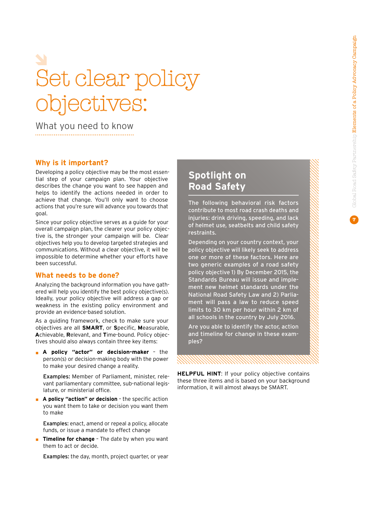# Set clear policy objectives:

What you need to know

#### **Why is it important?**

Developing a policy objective may be the most essential step of your campaign plan. Your objective describes the change you want to see happen and helps to identify the actions needed in order to achieve that change. You'll only want to choose actions that you're sure will advance you towards that goal.

Since your policy objective serves as a guide for your overall campaign plan, the clearer your policy objective is, the stronger your campaign will be. Clear objectives help you to develop targeted strategies and communications. Without a clear objective, it will be impossible to determine whether your efforts have been successful.

#### **What needs to be done?**

Analyzing the background information you have gathered will help you identify the best policy objective(s). Ideally, your policy objective will address a gap or weakness in the existing policy environment and provide an evidence-based solution.

As a guiding framework, check to make sure your objectives are all **SMART**, or **S**pecific, **M**easurable, **A**chievable, **R**elevant, and **T**ime-bound. Policy objectives should also always contain three key items:

■ **A policy "actor" or decision-maker** - the person(s) or decision-making body with the power to make your desired change a reality.

Examples: Member of Parliament, minister, relevant parliamentary committee, sub-national legislature, or ministerial office.

◼ **A policy "action" or decision** – the specific action you want them to take or decision you want them to make

Examples: enact, amend or repeal a policy, allocate funds, or issue a mandate to effect change

**Timeline for change** - The date by when you want them to act or decide.

Examples: the day, month, project quarter, or year

### **Spotlight on Road Safety**

The following behavioral risk factors contribute to most road crash deaths and injuries: drink driving, speeding, and lack of helmet use, seatbelts and child safety restraints.

Depending on your country context, your policy objective will likely seek to address one or more of these factors. Here are two generic examples of a road safety policy objective 1) By December 2015, the Standards Bureau will issue and implement new helmet standards under the National Road Safety Law and 2) Parliament will pass a law to reduce speed limits to 30 km per hour within 2 km of all schools in the country by July 2016.

Are you able to identify the actor, action and timeline for change in these examples?

**HELPFUL HINT:** If your policy objective contains these three items and is based on your background information, it will almost always be SMART.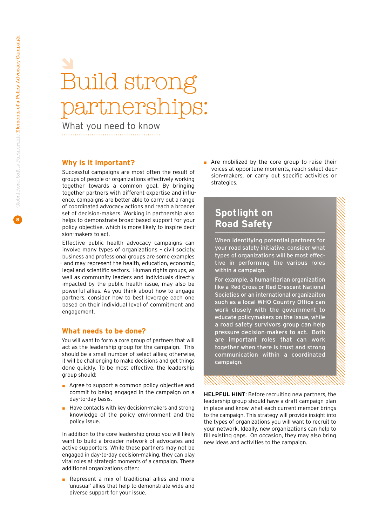## Build strong partnershir

What you need to know

#### **Why is it important?**

Successful campaigns are most often the result of groups of people or organizations effectively working together towards a common goal. By bringing together partners with different expertise and influence, campaigns are better able to carry out a range of coordinated advocacy actions and reach a broader set of decision-makers. Working in partnership also helps to demonstrate broad-based support for your policy objective, which is more likely to inspire decision-makers to act.

Effective public health advocacy campaigns can involve many types of organizations – civil society, business and professional groups are some examples – and may represent the health, education, economic, legal and scientific sectors. Human rights groups, as well as community leaders and individuals directly impacted by the public health issue, may also be powerful allies. As you think about how to engage partners, consider how to best leverage each one based on their individual level of commitment and engagement.

#### **What needs to be done?**

You will want to form a core group of partners that will act as the leadership group for the campaign. This should be a small number of select allies; otherwise, it will be challenging to make decisions and get things done quickly. To be most effective, the leadership group should:

- Agree to support a common policy objective and commit to being engaged in the campaign on a day-to-day basis.
- Have contacts with key decision-makers and strong knowledge of the policy environment and the policy issue.

In addition to the core leadership group you will likely want to build a broader network of advocates and active supporters. While these partners may not be engaged in day-to-day decision-making, they can play vital roles at strategic moments of a campaign. These additional organizations often:

■ Represent a mix of traditional allies and more 'unusual' allies that help to demonstrate wide and diverse support for your issue.

■ Are mobilized by the core group to raise their voices at opportune moments, reach select decision-makers, or carry out specific activities or strategies.

### **Spotlight on Road Safety**

When identifying potential partners for your road safety initiative, consider what types of organizations will be most effective in performing the various roles within a campaign.

For example, a humanitarian organization like a Red Cross or Red Crescent National Societies or an international organizaiton such as a local WHO Country Office can work closely with the government to educate policymakers on the issue, while a road safety survivors group can help pressure decision-makers to act. Both are important roles that can work together when there is trust and strong communication within a coordinated campaign.

**HELPFUL HINT**: Before recruiting new partners, the leadership group should have a draft campaign plan in place and know what each current member brings to the campaign. This strategy will provide insight into the types of organizations you will want to recruit to your network. Ideally, new organizations can help to fill existing gaps. On occasion, they may also bring new ideas and activities to the campaign.

111111111111111111111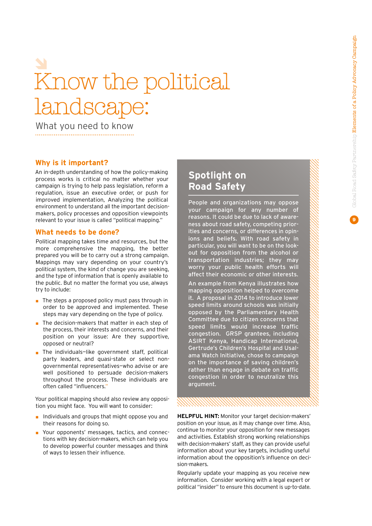## Know the political landscape:

What you need to know

#### **Why is it important?**

An in-depth understanding of how the policy-making process works is critical no matter whether your campaign is trying to help pass legislation, reform a regulation, issue an executive order, or push for improved implementation, Analyzing the political environment to understand all the important decisionmakers, policy processes and opposition viewpoints relevant to your issue is called "political mapping."

#### **What needs to be done?**

Political mapping takes time and resources, but the more comprehensive the mapping, the better prepared you will be to carry out a strong campaign. Mappings may vary depending on your country's political system, the kind of change you are seeking, and the type of information that is openly available to the public. But no matter the format you use, always try to include:

- The steps a proposed policy must pass through in order to be approved and implemented. These steps may vary depending on the type of policy.
- The decision-makers that matter in each step of the process, their interests and concerns, and their position on your issue: Are they supportive, opposed or neutral?
- The individuals-like government staff, political party leaders, and quasi-state or select nongovernmental representatives—who advise or are well positioned to persuade decision-makers throughout the process. These individuals are often called "influencers."

Your political mapping should also review any opposition you might face. You will want to consider:

- Individuals and groups that might oppose you and their reasons for doing so.
- Your opponents' messages, tactics, and connections with key decision-makers, which can help you to develop powerful counter messages and think of ways to lessen their influence.

### **Spotlight on Road Safety**

People and organizations may oppose your campaign for any number of reasons. It could be due to lack of awareness about road safety, competing priorities and concerns, or differences in opinions and beliefs. With road safety in particular, you will want to be on the lookout for opposition from the alcohol or transportation industries; they may worry your public health efforts will affect their economic or other interests.

An example from Kenya illustrates how mapping opposition helped to overcome it. A proposal in 2014 to introduce lower speed limits around schools was initially opposed by the Parliamentary Health Committee due to citizen concerns that speed limits would increase traffic congestion. GRSP grantees, including ASIRT Kenya, Handicap International, Gertrude's Children's Hospital and Usalama Watch Initiative, chose to campaign on the importance of saving children's rather than engage in debate on traffic congestion in order to neutralize this argument.

**HELPFUL HINT:** Monitor your target decision-makers' position on your issue, as it may change over time. Also, continue to monitor your opposition for new messages and activities. Establish strong working relationships with decision-makers' staff, as they can provide useful information about your key targets, including useful information about the opposition's influence on decision-makers.

Regularly update your mapping as you receive new information. Consider working with a legal expert or political "insider" to ensure this document is up-to-date.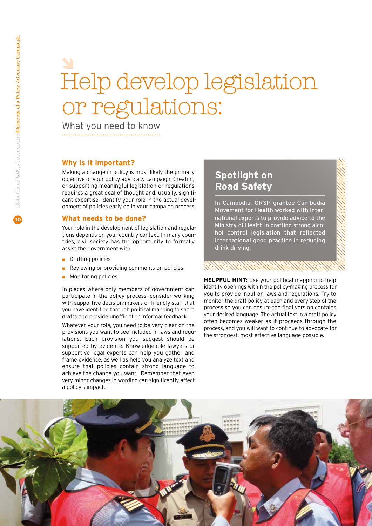## Help develop legislation or regulations:

What you need to know

#### **Why is it important?**

Making a change in policy is most likely the primary objective of your policy advocacy campaign. Creating or supporting meaningful legislation or regulations requires a great deal of thought and, usually, significant expertise. Identify your role in the actual development of policies early on in your campaign process.

#### **What needs to be done?**

Your role in the development of legislation and regulations depends on your country context. In many countries, civil society has the opportunity to formally assist the government with:

- ◼ Drafting policies
- ◼ Reviewing or providing comments on policies
- Monitoring policies

In places where only members of government can participate in the policy process, consider working with supportive decision-makers or friendly staff that you have identified through political mapping to share drafts and provide unofficial or informal feedback.

Whatever your role, you need to be very clear on the provisions you want to see included in laws and regulations. Each provision you suggest should be supported by evidence. Knowledgeable lawyers or supportive legal experts can help you gather and frame evidence, as well as help you analyze text and ensure that policies contain strong language to achieve the change you want. Remember that even very minor changes in wording can significantly affect a policy's impact.

### **Spotlight on Road Safety**

In Cambodia, GRSP grantee Cambodia Movement for Health worked with international experts to provide advice to the Ministry of Health in drafting strong alcohol control legislation that reflected international good practice in reducing drink driving.

**HELPFUL HINT:** Use your political mapping to help identify openings within the policy-making process for you to provide input on laws and regulations. Try to monitor the draft policy at each and every step of the process so you can ensure the final version contains your desired language. The actual text in a draft policy often becomes weaker as it proceeds through the process, and you will want to continue to advocate for the strongest, most effective language possible.

XXXXXXXXXXXXXXXXXXX

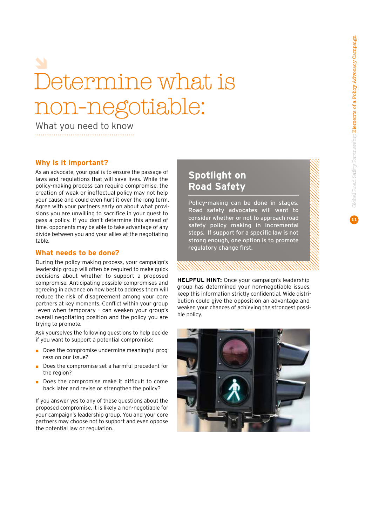## Determine what is non-negotiable:

What you need to know

#### **Why is it important?**

As an advocate, your goal is to ensure the passage of laws and regulations that will save lives. While the policy-making process can require compromise, the creation of weak or ineffectual policy may not help your cause and could even hurt it over the long term. Agree with your partners early on about what provisions you are unwilling to sacrifice in your quest to pass a policy. If you don't determine this ahead of time, opponents may be able to take advantage of any divide between you and your allies at the negotiating table.

#### **What needs to be done?**

During the policy-making process, your campaign's leadership group will often be required to make quick decisions about whether to support a proposed compromise. Anticipating possible compromises and agreeing in advance on how best to address them will reduce the risk of disagreement among your core partners at key moments. Conflict within your group – even when temporary – can weaken your group's overall negotiating position and the policy you are trying to promote.

Ask yourselves the following questions to help decide if you want to support a potential compromise:

- Does the compromise undermine meaningful progress on our issue?
- Does the compromise set a harmful precedent for the region?
- Does the compromise make it difficult to come back later and revise or strengthen the policy?

If you answer yes to any of these questions about the proposed compromise, it is likely a non-negotiable for your campaign's leadership group. You and your core partners may choose not to support and even oppose the potential law or regulation.

### **Spotlight on Road Safety**

Policy-making can be done in stages. Road safety advocates will want to consider whether or not to approach road safety policy making in incremental steps. If support for a specific law is not strong enough, one option is to promote regulatory change first.

**HELPFUL HINT:** Once your campaign's leadership group has determined your non-negotiable issues, keep this information strictly confidential. Wide distribution could give the opposition an advantage and weaken your chances of achieving the strongest possible policy.

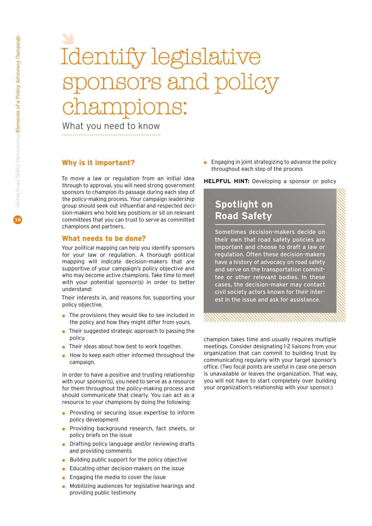## Identify legislative sponsors and policy lS:

What you need to know

#### **Why is it important?**

To move a law or regulation from an initial idea through to approval, you will need strong government sponsors to champion its passage during each step of the policy-making process. Your campaign leadership group should seek out influential and respected decision-makers who hold key positions or sit on relevant committees that you can trust to serve as committed champions and partners.

#### **What needs to be done?**

Your political mapping can help you identify sponsors for your law or regulation. A thorough political mapping will indicate decision-makers that are supportive of your campaign's policy objective and who may become active champions. Take time to meet with your potential sponsor(s) in order to better understand:

Their interests in, and reasons for, supporting your policy objective.

- The provisions they would like to see included in the policy and how they might differ from yours.
- Their suggested strategic approach to passing the policy.
- Their ideas about how best to work together.
- ◼ How to keep each other informed throughout the campaign.

In order to have a positive and trusting relationship with your sponsor(s), you need to serve as a resource for them throughout the policy-making process and should communicate that clearly. You can act as a resource to your champions by doing the following:

- Providing or securing issue expertise to inform policy development
- Providing background research, fact sheets, or policy briefs on the issue
- Drafting policy language and/or reviewing drafts and providing comments
- Building public support for the policy objective
- ◼ Educating other decision-makers on the issue
- Engaging the media to cover the issue
- Mobilizing audiences for legislative hearings and providing public testimony

 $\blacksquare$  Engaging in joint strategizing to advance the policy throughout each step of the process

**HELPFUL HINT:** Developing a sponsor or policy

### **Spotlight on Road Safety**

Sometimes decision-makers decide on their own that road safety policies are important and choose to draft a law or regulation. Often these decision-makers have a history of advocacy on road safety and serve on the transportation committee or other relevant bodies. In these cases, the decision-maker may contact civil society actors known for their interest in the issue and ask for assistance.

champion takes time and usually requires multiple meetings. Consider designating 1-2 liaisons from your organization that can commit to building trust by communicating regularly with your target sponsor's office. (Two focal points are useful in case one person is unavailable or leaves the organization. That way, you will not have to start completely over building your organization's relationship with your sponsor.)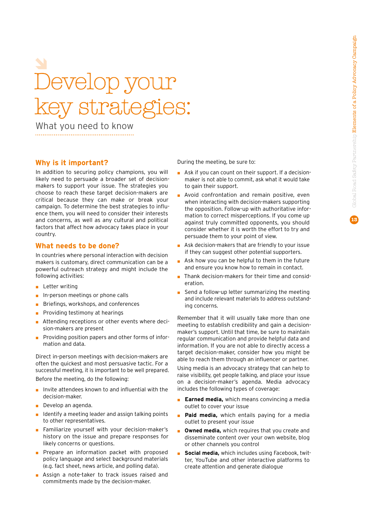# Develop your key strategies:

What you need to know

#### **Why is it important?**

In addition to securing policy champions, you will likely need to persuade a broader set of decisionmakers to support your issue. The strategies you choose to reach these target decision-makers are critical because they can make or break your campaign. To determine the best strategies to influence them, you will need to consider their interests and concerns, as well as any cultural and political factors that affect how advocacy takes place in your country.

#### **What needs to be done?**

In countries where personal interaction with decision makers is customary, direct communication can be a powerful outreach strategy and might include the following activities:

- Letter writing
- In-person meetings or phone calls
- Briefings, workshops, and conferences
- Providing testimony at hearings
- Attending receptions or other events where decision-makers are present
- Providing position papers and other forms of information and data.

Direct in-person meetings with decision-makers are often the quickest and most persuasive tactic. For a successful meeting, it is important to be well prepared.

Before the meeting, do the following:

- Invite attendees known to and influential with the decision-maker.
- Develop an agenda.
- Identify a meeting leader and assign talking points to other representatives.
- Familiarize yourself with your decision-maker's history on the issue and prepare responses for likely concerns or questions.
- Prepare an information packet with proposed policy language and select background materials (e.g. fact sheet, news article, and polling data).
- Assign a note-taker to track issues raised and commitments made by the decision-maker.

During the meeting, be sure to:

- Ask if you can count on their support. If a decisionmaker is not able to commit, ask what it would take to gain their support.
- Avoid confrontation and remain positive, even when interacting with decision-makers supporting the opposition. Follow-up with authoritative information to correct misperceptions. If you come up against truly committed opponents, you should consider whether it is worth the effort to try and persuade them to your point of view.
- Ask decision-makers that are friendly to your issue if they can suggest other potential supporters.
- Ask how you can be helpful to them in the future and ensure you know how to remain in contact.
- Thank decision-makers for their time and consideration.
- Send a follow-up letter summarizing the meeting and include relevant materials to address outstanding concerns.

Remember that it will usually take more than one meeting to establish credibility and gain a decisionmaker's support. Until that time, be sure to maintain regular communication and provide helpful data and information. If you are not able to directly access a target decision-maker, consider how you might be able to reach them through an influencer or partner.

Using media is an advocacy strategy that can help to raise visibility, get people talking, and place your issue on a decision-maker's agenda. Media advocacy includes the following types of coverage:

- **Earned media, which means convincing a media** outlet to cover your issue
- Paid media, which entails paying for a media outlet to present your issue
- Owned media, which requires that you create and disseminate content over your own website, blog or other channels you control
- **Social media, which includes using Facebook, twit**ter, YouTube and other interactive platforms to create attention and generate dialogue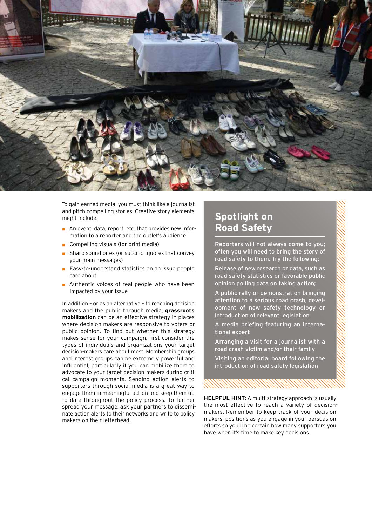

To gain earned media, you must think like a journalist and pitch compelling stories. Creative story elements might include:

- An event, data, report, etc. that provides new information to a reporter and the outlet's audience
- Compelling visuals (for print media)
- Sharp sound bites (or succinct quotes that convey your main messages)
- Easy-to-understand statistics on an issue people care about
- Authentic voices of real people who have been impacted by your issue

In addition – or as an alternative – to reaching decision makers and the public through media, **grassroots mobilization** can be an effective strategy in places where decision-makers are responsive to voters or public opinion. To find out whether this strategy makes sense for your campaign, first consider the types of individuals and organizations your target decision-makers care about most. Membership groups and interest groups can be extremely powerful and influential, particularly if you can mobilize them to advocate to your target decision-makers during critical campaign moments. Sending action alerts to supporters through social media is a great way to engage them in meaningful action and keep them up to date throughout the policy process. To further spread your message, ask your partners to disseminate action alerts to their networks and write to policy makers on their letterhead.

## **Spotlight on Road Safety**

Reporters will not always come to you; often you will need to bring the story of road safety to them. Try the following:

Release of new research or data, such as road safety statistics or favorable public opinion polling data on taking action;

A public rally or demonstration bringing attention to a serious road crash, development of new safety technology or introduction of relevant legislation

A media briefing featuring an international expert

Arranging a visit for a journalist with a road crash victim and/or their family

Visiting an editorial board following the introduction of road safety legislation

**HELPFUL HINT:** A multi-strategy approach is usually the most effective to reach a variety of decisionmakers. Remember to keep track of your decision makers' positions as you engage in your persuasion efforts so you'll be certain how many supporters you have when it's time to make key decisions.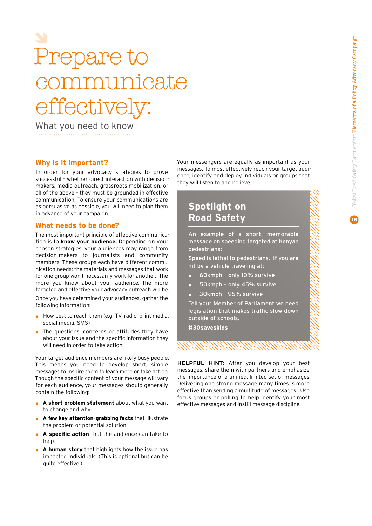## Prepare to nicate effikze

What you need to know

#### **Why is it important?**

In order for your advocacy strategies to prove successful – whether direct interaction with decisionmakers, media outreach, grassroots mobilization, or all of the above – they must be grounded in effective communication. To ensure your communications are as persuasive as possible, you will need to plan them in advance of your campaign.

#### **What needs to be done?**

The most important principle of effective communication is to **know your audience.** Depending on your chosen strategies, your audiences may range from decision-makers to journalists and community members. These groups each have different communication needs; the materials and messages that work for one group won't necessarily work for another. The more you know about your audience, the more targeted and effective your advocacy outreach will be. Once you have determined your audiences, gather the following information:

- How best to reach them (e.g. TV, radio, print media, social media, SMS)
- The questions, concerns or attitudes they have about your issue and the specific information they will need in order to take action

Your target audience members are likely busy people. This means you need to develop short, simple messages to inspire them to learn more or take action. Though the specific content of your message will vary for each audience, your messages should generally contain the following:

- A short problem statement about what you want to change and why
- A few key attention-grabbing facts that illustrate the problem or potential solution
- A specific action that the audience can take to help
- **A human story** that highlights how the issue has impacted individuals. (This is optional but can be quite effective.)

Your messengers are equally as important as your messages. To most effectively reach your target audience, identify and deploy individuals or groups that they will listen to and believe.

### **Spotlight on Road Safety**

An example of a short, memorable message on speeding targeted at Kenyan pedestrians:

Speed is lethal to pedestrians. If you are hit by a vehicle traveling at:

- 60kmph only 10% survive
- ◼ 50kmph only 45% survive
- ◼ 30kmph 95% survive

Tell your Member of Parliament we need legislation that makes traffic slow down outside of schools.

**#30saveskids**

**HELPFUL HINT:** After you develop your best messages, share them with partners and emphasize the importance of a unified, limited set of messages. Delivering one strong message many times is more effective than sending a multitude of messages. Use focus groups or polling to help identify your most effective messages and instill message discipline.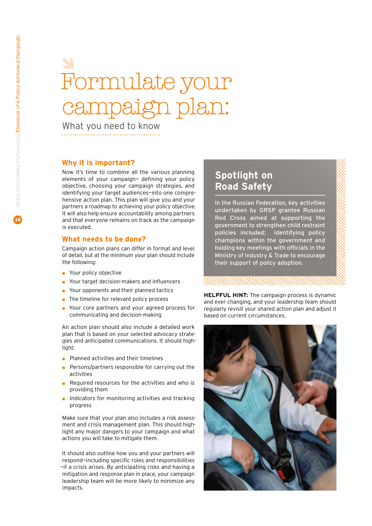## Formulate your ign plan:

What you need to know

#### **Why it is important?**

Now it's time to combine all the various planning elements of your campaign— defining your policy objective, choosing your campaign strategies, and identifying your target audiences—into one comprehensive action plan. This plan will give you and your partners a roadmap to achieving your policy objective. It will also help ensure accountability among partners and that everyone remains on track as the campaign is executed.

#### **What needs to be done?**

Campaign action plans can differ in format and level of detail, but at the minimum your plan should include the following:

- Your policy objective
- Your target decision-makers and influencers
- Your opponents and their planned tactics
- The timeline for relevant policy process
- Your core partners and your agreed process for communicating and decision-making

An action plan should also include a detailed work plan that is based on your selected advocacy strategies and anticipated communications. It should highlight:

- Planned activities and their timelines
- Persons/partners responsible for carrying out the activities
- Required resources for the activities and who is providing them
- Indicators for monitoring activities and tracking progress

Make sure that your plan also includes a risk assessment and crisis management plan. This should highlight any major dangers to your campaign and what actions you will take to mitigate them.

It should also outline how you and your partners will respond—including specific roles and responsibilities —if a crisis arises. By anticipating risks and having a mitigation and response plan in place, your campaign leadership team will be more likely to minimize any impacts.

### **Spotlight on Road Safety**

In the Russian Federation, key activities undertaken by GRSP grantee Russian Red Cross aimed at supporting the government to strengthen child restraint policies included: identifying policy champions within the government and holding key meetings with officials in the Ministry of Industry & Trade to encourage their support of policy adoption.

**HELPFUL HINT:** The campaign process is dynamic and ever changing, and your leadership team should regularly revisit your shared action plan and adjust it based on current circumstances.

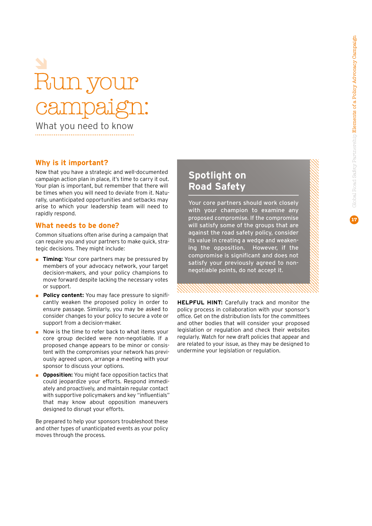# fun y campaign:

What you need to know

#### **Why is it important?**

Now that you have a strategic and well-documented campaign action plan in place, it's time to carry it out. Your plan is important, but remember that there will be times when you will need to deviate from it. Naturally, unanticipated opportunities and setbacks may arise to which your leadership team will need to rapidly respond.

#### **What needs to be done?**

Common situations often arise during a campaign that can require you and your partners to make quick, strategic decisions. They might include:

- **Timing:** Your core partners may be pressured by members of your advocacy network, your target decision-makers, and your policy champions to move forward despite lacking the necessary votes or support.
- **Policy content:** You may face pressure to significantly weaken the proposed policy in order to ensure passage. Similarly, you may be asked to consider changes to your policy to secure a vote or support from a decision-maker.
- Now is the time to refer back to what items your core group decided were non-negotiable. If a proposed change appears to be minor or consistent with the compromises your network has previously agreed upon, arrange a meeting with your sponsor to discuss your options.
- **Opposition:** You might face opposition tactics that could jeopardize your efforts. Respond immediately and proactively, and maintain regular contact with supportive policymakers and key "influentials" that may know about opposition maneuvers designed to disrupt your efforts.

Be prepared to help your sponsors troubleshoot these and other types of unanticipated events as your policy moves through the process.

### **Spotlight on Road Safety**

Your core partners should work closely with your champion to examine any proposed compromise. If the compromise will satisfy some of the groups that are against the road safety policy, consider its value in creating a wedge and weakening the opposition. However, if the compromise is significant and does not satisfy your previously agreed to nonnegotiable points, do not accept it.

**HELPFUL HINT:** Carefully track and monitor the policy process in collaboration with your sponsor's office. Get on the distribution lists for the committees and other bodies that will consider your proposed legislation or regulation and check their websites regularly. Watch for new draft policies that appear and are related to your issue, as they may be designed to undermine your legislation or regulation.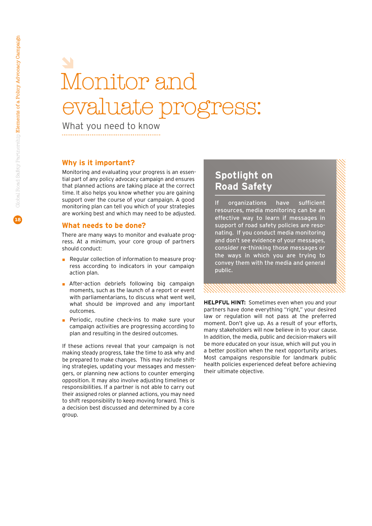## Monitor and evaluate progress:

What you need to know

#### **Why is it important?**

Monitoring and evaluating your progress is an essential part of any policy advocacy campaign and ensures that planned actions are taking place at the correct time. It also helps you know whether you are gaining support over the course of your campaign. A good monitoring plan can tell you which of your strategies are working best and which may need to be adjusted.

#### **What needs to be done?**

There are many ways to monitor and evaluate progress. At a minimum, your core group of partners should conduct:

- Regular collection of information to measure progress according to indicators in your campaign action plan.
- After-action debriefs following big campaign moments, such as the launch of a report or event with parliamentarians, to discuss what went well, what should be improved and any important outcomes.
- Periodic, routine check-ins to make sure your campaign activities are progressing according to plan and resulting in the desired outcomes.

If these actions reveal that your campaign is not making steady progress, take the time to ask why and be prepared to make changes. This may include shifting strategies, updating your messages and messengers, or planning new actions to counter emerging opposition. It may also involve adjusting timelines or responsibilities. If a partner is not able to carry out their assigned roles or planned actions, you may need to shift responsibility to keep moving forward. This is a decision best discussed and determined by a core group.

### **Spotlight on Road Safety**

If organizations have sufficient resources, media monitoring can be an effective way to learn if messages in support of road safety policies are resonating. If you conduct media monitoring and don't see evidence of your messages, consider re-thinking those messages or the ways in which you are trying to convey them with the media and general public.

**HELPFUL HINT:** Sometimes even when you and your partners have done everything "right," your desired law or regulation will not pass at the preferred moment. Don't give up. As a result of your efforts, many stakeholders will now believe in to your cause. In addition, the media, public and decision-makers will be more educated on your issue, which will put you in a better position when the next opportunity arises. Most campaigns responsible for landmark public health policies experienced defeat before achieving their ultimate objective.

XXXXXXXXXXXXXXXXXXXXX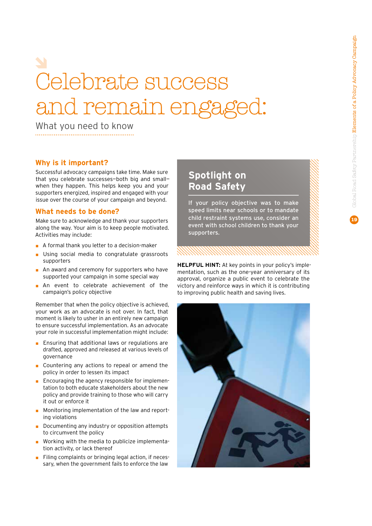# Celebrate success and remain engage

What you need to know

#### **Why is it important?**

Successful advocacy campaigns take time. Make sure that you celebrate successes—both big and small when they happen. This helps keep you and your supporters energized, inspired and engaged with your issue over the course of your campaign and beyond.

#### **What needs to be done?**

Make sure to acknowledge and thank your supporters along the way. Your aim is to keep people motivated. Activities may include:

- A formal thank you letter to a decision-maker
- Using social media to congratulate grassroots supporters
- An award and ceremony for supporters who have supported your campaign in some special way
- An event to celebrate achievement of the campaign's policy objective

Remember that when the policy objective is achieved, your work as an advocate is not over. In fact, that moment is likely to usher in an entirely new campaign to ensure successful implementation. As an advocate your role in successful implementation might include:

- Ensuring that additional laws or regulations are drafted, approved and released at various levels of governance
- Countering any actions to repeal or amend the policy in order to lessen its impact
- Encouraging the agency responsible for implementation to both educate stakeholders about the new policy and provide training to those who will carry it out or enforce it
- Monitoring implementation of the law and reporting violations
- ◼ Documenting any industry or opposition attempts to circumvent the policy
- Working with the media to publicize implementation activity, or lack thereof
- Filing complaints or bringing legal action, if necessary, when the government fails to enforce the law

### **Spotlight on Road Safety**

If your policy objective was to make speed limits near schools or to mandate child restraint systems use, consider an event with school children to thank your supporters.

**HELPFUL HINT:** At key points in your policy's implementation, such as the one-year anniversary of its approval, organize a public event to celebrate the victory and reinforce ways in which it is contributing to improving public health and saving lives.